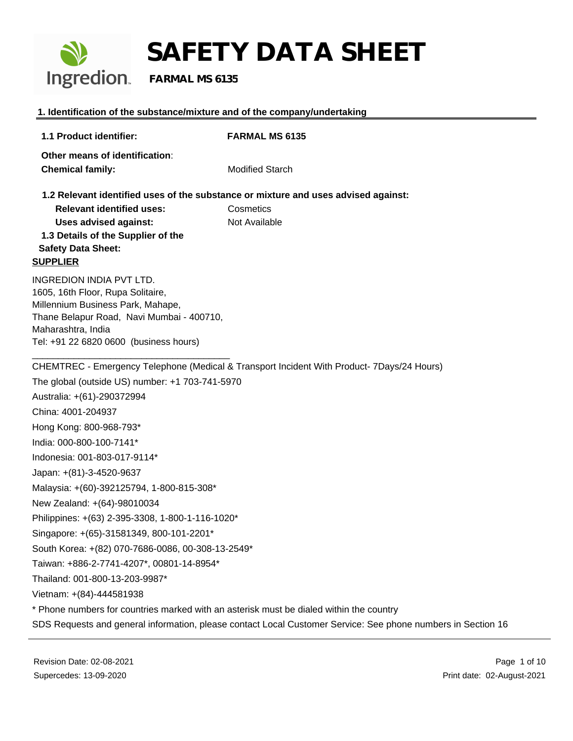

**1. Identification of the substance/mixture and of the company/undertaking**

### **1.1 Product identifier: FARMAL MS 6135 Other means of identification**: **Chemical family:** Modified Starch **1.2 Relevant identified uses of the substance or mixture and uses advised against: Relevant identified uses:** Cosmetics Uses advised against: Not Available **1.3 Details of the Supplier of the Safety Data Sheet: SUPPLIER** INGREDION INDIA PVT LTD. 1605, 16th Floor, Rupa Solitaire, Millennium Business Park, Mahape, Thane Belapur Road, Navi Mumbai - 400710, Maharashtra, India Tel: +91 22 6820 0600 (business hours) \_\_\_\_\_\_\_\_\_\_\_\_\_\_\_\_\_\_\_\_\_\_\_\_\_\_\_\_\_\_\_\_\_\_\_\_\_\_ CHEMTREC - Emergency Telephone (Medical & Transport Incident With Product- 7Days/24 Hours) The global (outside US) number: +1 703-741-5970 Australia: +(61)-290372994 China: 4001-204937 Hong Kong: 800-968-793\* India: 000-800-100-7141\* Indonesia: 001-803-017-9114\* Japan: +(81)-3-4520-9637 Malaysia: +(60)-392125794, 1-800-815-308\* New Zealand: +(64)-98010034 Philippines: +(63) 2-395-3308, 1-800-1-116-1020\* Singapore: +(65)-31581349, 800-101-2201\* South Korea: +(82) 070-7686-0086, 00-308-13-2549\* Taiwan: +886-2-7741-4207\*, 00801-14-8954\* Thailand: 001-800-13-203-9987\* Vietnam: +(84)-444581938 \* Phone numbers for countries marked with an asterisk must be dialed within the country SDS Requests and general information, please contact Local Customer Service: See phone numbers in Section 16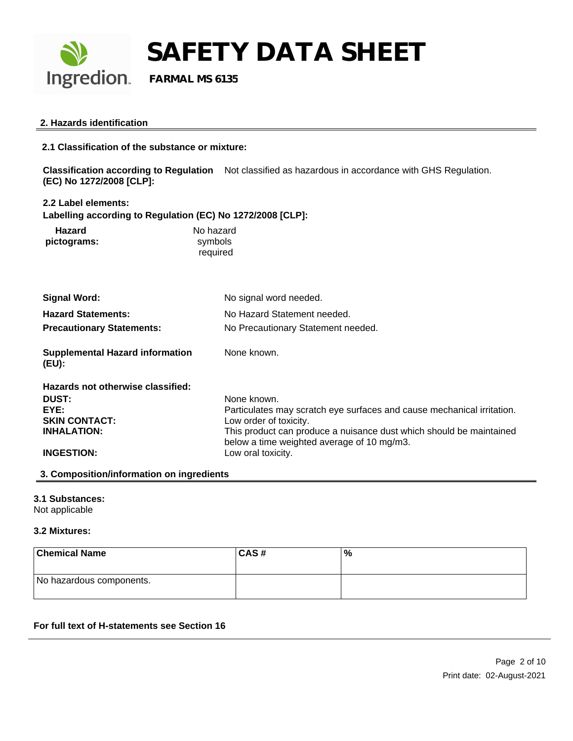

#### **2. Hazards identification**

**2.1 Classification of the substance or mixture:**

**Classification according to Regulation** Not classified as hazardous in accordance with GHS Regulation. **(EC) No 1272/2008 [CLP]:**

**2.2 Label elements:**

**Labelling according to Regulation (EC) No 1272/2008 [CLP]:**

| Hazard      | No hazard |
|-------------|-----------|
| pictograms: | symbols   |
|             | required  |

| Signal Word:                                    | No signal word needed.                                                                                            |
|-------------------------------------------------|-------------------------------------------------------------------------------------------------------------------|
| <b>Hazard Statements:</b>                       | No Hazard Statement needed.                                                                                       |
| <b>Precautionary Statements:</b>                | No Precautionary Statement needed.                                                                                |
| <b>Supplemental Hazard information</b><br>(EU): | None known.                                                                                                       |
| Hazards not otherwise classified:               |                                                                                                                   |
| <b>DUST:</b>                                    | None known.                                                                                                       |
| EYE:                                            | Particulates may scratch eye surfaces and cause mechanical irritation.                                            |
| <b>SKIN CONTACT:</b>                            | Low order of toxicity.                                                                                            |
| <b>INHALATION:</b>                              | This product can produce a nuisance dust which should be maintained<br>below a time weighted average of 10 mg/m3. |
| <b>INGESTION:</b>                               | Low oral toxicity.                                                                                                |

#### **3. Composition/information on ingredients**

#### **3.1 Substances:**

Not applicable

#### **3.2 Mixtures:**

| <b>Chemical Name</b>     | <b>CAS#</b> | $\%$ |
|--------------------------|-------------|------|
| No hazardous components. |             |      |

#### **For full text of H-statements see Section 16**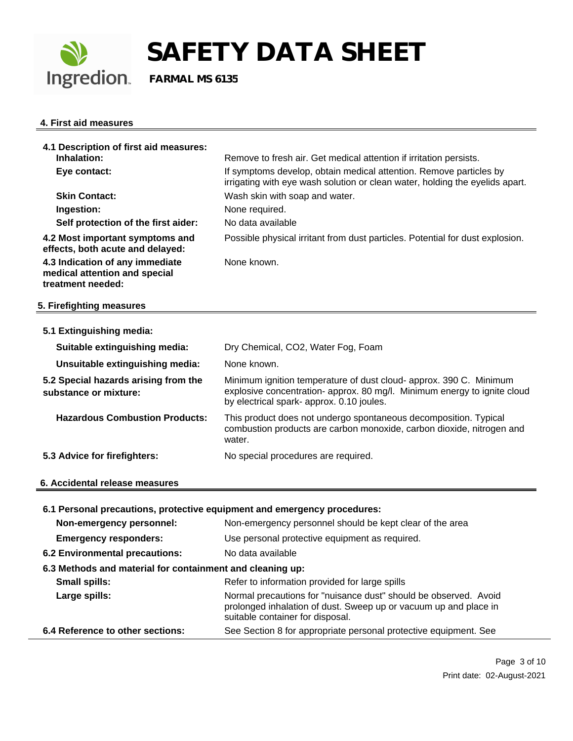

#### **4. First aid measures**

| 4.1 Description of first aid measures:<br>Inhalation:                                 | Remove to fresh air. Get medical attention if irritation persists.                                                                                                                          |
|---------------------------------------------------------------------------------------|---------------------------------------------------------------------------------------------------------------------------------------------------------------------------------------------|
| Eye contact:                                                                          | If symptoms develop, obtain medical attention. Remove particles by<br>irrigating with eye wash solution or clean water, holding the eyelids apart.                                          |
| <b>Skin Contact:</b>                                                                  | Wash skin with soap and water.                                                                                                                                                              |
| Ingestion:                                                                            | None required.                                                                                                                                                                              |
| Self protection of the first aider:                                                   | No data available                                                                                                                                                                           |
| 4.2 Most important symptoms and<br>effects, both acute and delayed:                   | Possible physical irritant from dust particles. Potential for dust explosion.                                                                                                               |
| 4.3 Indication of any immediate<br>medical attention and special<br>treatment needed: | None known.                                                                                                                                                                                 |
| 5. Firefighting measures                                                              |                                                                                                                                                                                             |
| 5.1 Extinguishing media:                                                              |                                                                                                                                                                                             |
| Suitable extinguishing media:                                                         | Dry Chemical, CO2, Water Fog, Foam                                                                                                                                                          |
| Unsuitable extinguishing media:                                                       | None known.                                                                                                                                                                                 |
| 5.2 Special hazards arising from the<br>substance or mixture:                         | Minimum ignition temperature of dust cloud- approx. 390 C. Minimum<br>explosive concentration- approx. 80 mg/l. Minimum energy to ignite cloud<br>by electrical spark- approx. 0.10 joules. |
| <b>Hazardous Combustion Products:</b>                                                 | This product does not undergo spontaneous decomposition. Typical<br>combustion products are carbon monoxide, carbon dioxide, nitrogen and<br>water.                                         |
| 5.3 Advice for firefighters:                                                          | No special procedures are required.                                                                                                                                                         |
| 6. Accidental release measures                                                        |                                                                                                                                                                                             |
| 6.1 Personal precautions, protective equipment and emergency procedures:              |                                                                                                                                                                                             |
| Non-emergency personnel:                                                              | Non-emergency personnel should be kept clear of the area                                                                                                                                    |
| <b>Emergency responders:</b>                                                          | Use personal protective equipment as required.                                                                                                                                              |
| 6.2 Environmental precautions:                                                        | No data available                                                                                                                                                                           |
| 6.3 Methods and material for containment and cleaning up:                             |                                                                                                                                                                                             |
| <b>Small spills:</b>                                                                  | Refer to information provided for large spills                                                                                                                                              |
| Large spills:                                                                         | Normal precautions for "nuisance dust" should be observed. Avoid<br>prolonged inhalation of dust. Sweep up or vacuum up and place in<br>suitable container for disposal.                    |

**6.4 Reference to other sections:** See Section 8 for appropriate personal protective equipment. See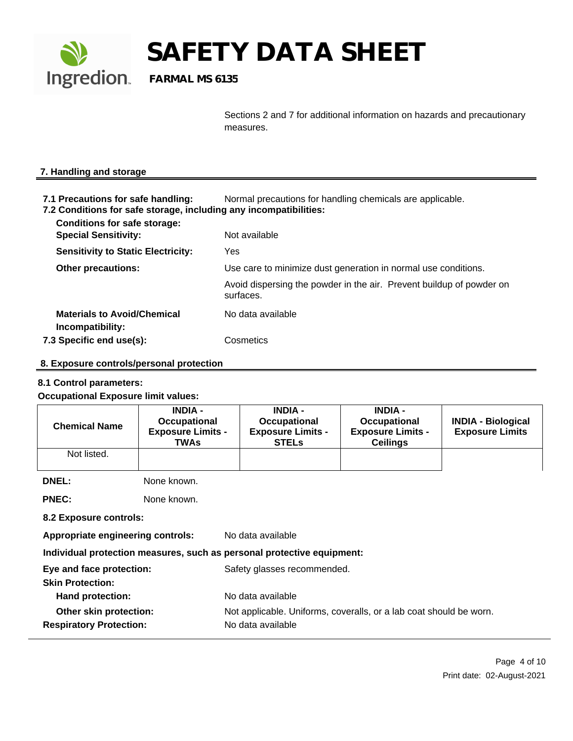

Sections 2 and 7 for additional information on hazards and precautionary measures.

#### **7. Handling and storage**

- **7.1 Precautions for safe handling:** Normal precautions for handling chemicals are applicable.
- **7.2 Conditions for safe storage, including any incompatibilities:**

| <b>Conditions for safe storage:</b><br><b>Special Sensitivity:</b> | Not available                                                                     |
|--------------------------------------------------------------------|-----------------------------------------------------------------------------------|
| <b>Sensitivity to Static Electricity:</b>                          | Yes                                                                               |
| <b>Other precautions:</b>                                          | Use care to minimize dust generation in normal use conditions.                    |
|                                                                    | Avoid dispersing the powder in the air. Prevent buildup of powder on<br>surfaces. |
| <b>Materials to Avoid/Chemical</b><br>Incompatibility:             | No data available                                                                 |
| 7.3 Specific end use(s):                                           | Cosmetics                                                                         |
|                                                                    |                                                                                   |

#### **8. Exposure controls/personal protection**

#### **8.1 Control parameters:**

#### **Occupational Exposure limit values:**

| <b>Chemical Name</b>                                     | <b>INDIA -</b><br>Occupational<br><b>Exposure Limits -</b><br><b>TWAs</b> | <b>INDIA -</b><br>Occupational<br><b>Exposure Limits -</b><br><b>STELs</b>              | <b>INDIA -</b><br>Occupational<br><b>Exposure Limits -</b><br><b>Ceilings</b> | <b>INDIA - Biological</b><br><b>Exposure Limits</b> |
|----------------------------------------------------------|---------------------------------------------------------------------------|-----------------------------------------------------------------------------------------|-------------------------------------------------------------------------------|-----------------------------------------------------|
| Not listed.                                              |                                                                           |                                                                                         |                                                                               |                                                     |
| <b>DNEL:</b>                                             | None known.                                                               |                                                                                         |                                                                               |                                                     |
| <b>PNEC:</b>                                             | None known.                                                               |                                                                                         |                                                                               |                                                     |
| 8.2 Exposure controls:                                   |                                                                           |                                                                                         |                                                                               |                                                     |
| <b>Appropriate engineering controls:</b>                 |                                                                           | No data available                                                                       |                                                                               |                                                     |
|                                                          |                                                                           | Individual protection measures, such as personal protective equipment:                  |                                                                               |                                                     |
| Eye and face protection:<br><b>Skin Protection:</b>      |                                                                           | Safety glasses recommended.                                                             |                                                                               |                                                     |
| <b>Hand protection:</b>                                  |                                                                           | No data available                                                                       |                                                                               |                                                     |
| Other skin protection:<br><b>Respiratory Protection:</b> |                                                                           | Not applicable. Uniforms, coveralls, or a lab coat should be worn.<br>No data available |                                                                               |                                                     |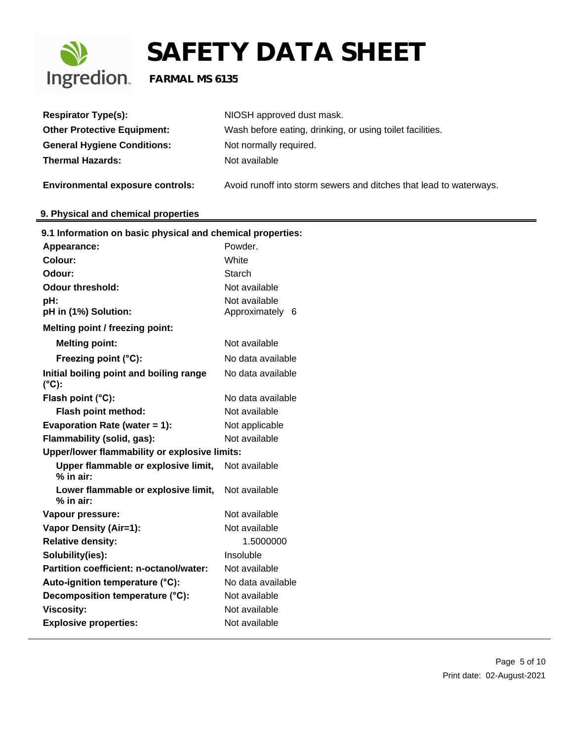

| <b>Respirator Type(s):</b>                                 | NIOSH approved dust mask.                                          |
|------------------------------------------------------------|--------------------------------------------------------------------|
| <b>Other Protective Equipment:</b>                         | Wash before eating, drinking, or using toilet facilities.          |
| <b>General Hygiene Conditions:</b>                         | Not normally required.                                             |
| <b>Thermal Hazards:</b>                                    | Not available                                                      |
| <b>Environmental exposure controls:</b>                    | Avoid runoff into storm sewers and ditches that lead to waterways. |
| 9. Physical and chemical properties                        |                                                                    |
| 9.1 Information on basic physical and chemical properties: |                                                                    |
| Appearance:                                                | Powder.                                                            |
| <b>Colour:</b>                                             | White                                                              |
| Odour:                                                     | Starch                                                             |
| <b>Odour threshold:</b>                                    | Not available                                                      |
| pH:                                                        | Not available                                                      |
| pH in (1%) Solution:                                       | Approximately 6                                                    |
| Melting point / freezing point:                            |                                                                    |
| <b>Melting point:</b>                                      | Not available                                                      |
| Freezing point (°C):                                       | No data available                                                  |
| Initial boiling point and boiling range<br>$(^{\circ}C)$ : | No data available                                                  |
| Flash point (°C):                                          | No data available                                                  |
| Flash point method:                                        | Not available                                                      |
| Evaporation Rate (water = 1):                              | Not applicable                                                     |
| Flammability (solid, gas):                                 | Not available                                                      |
| Upper/lower flammability or explosive limits:              |                                                                    |
| Upper flammable or explosive limit,<br>$%$ in air:         | Not available                                                      |
| Lower flammable or explosive limit,<br>$%$ in air:         | Not available                                                      |
| Vapour pressure:                                           | Not available                                                      |
| <b>Vapor Density (Air=1):</b>                              | Not available                                                      |
| <b>Relative density:</b>                                   | 1.5000000                                                          |
| Solubility(ies):                                           | Insoluble                                                          |
| Partition coefficient: n-octanol/water:                    | Not available                                                      |
| Auto-ignition temperature (°C):                            | No data available                                                  |
| Decomposition temperature (°C):                            | Not available                                                      |
| <b>Viscosity:</b>                                          | Not available                                                      |
| <b>Explosive properties:</b>                               | Not available                                                      |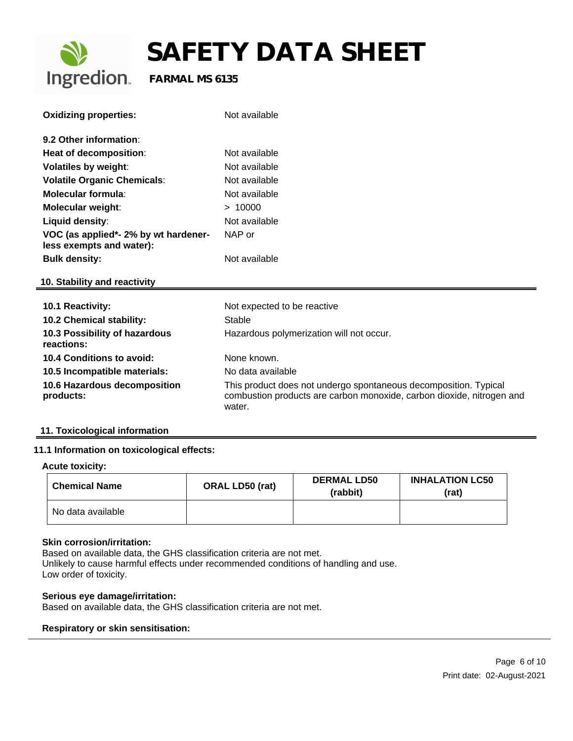

| <b>Oxidizing properties:</b>                                     | Not available                                                                                                                                       |
|------------------------------------------------------------------|-----------------------------------------------------------------------------------------------------------------------------------------------------|
| 9.2 Other information:                                           |                                                                                                                                                     |
| Heat of decomposition:                                           | Not available                                                                                                                                       |
| <b>Volatiles by weight:</b>                                      | Not available                                                                                                                                       |
| <b>Volatile Organic Chemicals:</b>                               | Not available                                                                                                                                       |
| Molecular formula:                                               | Not available                                                                                                                                       |
| <b>Molecular weight:</b>                                         | > 10000                                                                                                                                             |
| Liquid density:                                                  | Not available                                                                                                                                       |
| VOC (as applied*- 2% by wt hardener-<br>less exempts and water): | NAP or                                                                                                                                              |
| <b>Bulk density:</b>                                             | Not available                                                                                                                                       |
| 10. Stability and reactivity                                     |                                                                                                                                                     |
| 10.1 Reactivity:                                                 | Not expected to be reactive                                                                                                                         |
| 10.2 Chemical stability:                                         | Stable                                                                                                                                              |
| 10.3 Possibility of hazardous<br>reactions:                      | Hazardous polymerization will not occur.                                                                                                            |
| <b>10.4 Conditions to avoid:</b>                                 | None known.                                                                                                                                         |
| 10.5 Incompatible materials:                                     | No data available                                                                                                                                   |
| 10.6 Hazardous decomposition<br>products:                        | This product does not undergo spontaneous decomposition. Typical<br>combustion products are carbon monoxide, carbon dioxide, nitrogen and<br>water. |

#### **11. Toxicological information**

#### **11.1 Information on toxicological effects:**

#### **Acute toxicity:**

| <b>Chemical Name</b> | <b>ORAL LD50 (rat)</b> | <b>DERMAL LD50</b><br>(rabbit) | <b>INHALATION LC50</b><br>(rat) |
|----------------------|------------------------|--------------------------------|---------------------------------|
| No data available    |                        |                                |                                 |

#### **Skin corrosion/irritation:**

Based on available data, the GHS classification criteria are not met. Unlikely to cause harmful effects under recommended conditions of handling and use. Low order of toxicity.

#### **Serious eye damage/irritation:**

Based on available data, the GHS classification criteria are not met.

#### **Respiratory or skin sensitisation:**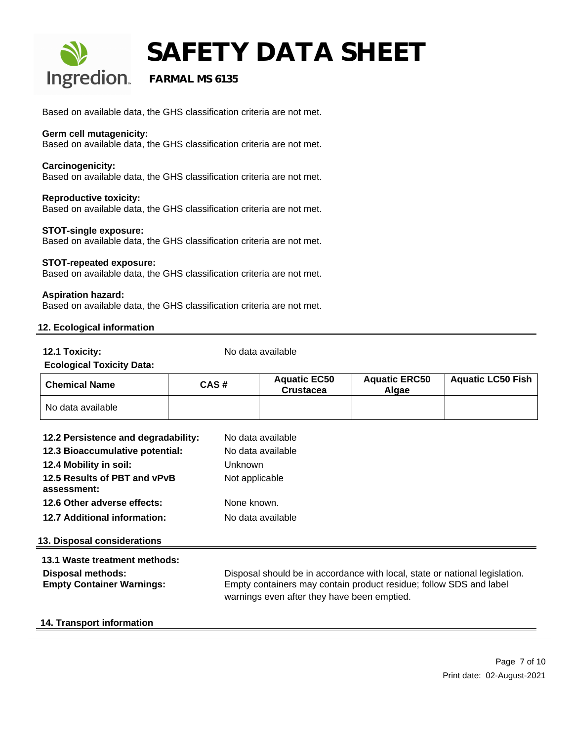

# **SAFETY DATA SHEET**<br>Ingredion. FARMAL MS 6135

### **FARMAL MS 6135**

Based on available data, the GHS classification criteria are not met.

#### **Germ cell mutagenicity:**

Based on available data, the GHS classification criteria are not met.

### **Carcinogenicity:**

Based on available data, the GHS classification criteria are not met.

### **Reproductive toxicity:**

Based on available data, the GHS classification criteria are not met.

### **STOT-single exposure:**

Based on available data, the GHS classification criteria are not met.

### **STOT-repeated exposure:**

Based on available data, the GHS classification criteria are not met.

#### **Aspiration hazard:**

Based on available data, the GHS classification criteria are not met.

### **12. Ecological information**

**12.1 Toxicity:** No data available

### **Ecological Toxicity Data:**

| <b>Chemical Name</b> | CAS# | <b>Aquatic EC50</b><br><b>Crustacea</b> | <b>Aquatic ERC50</b><br>Alaae | <b>Aquatic LC50 Fish</b> |
|----------------------|------|-----------------------------------------|-------------------------------|--------------------------|
| No data available    |      |                                         |                               |                          |

| 12.2 Persistence and degradability:<br>12.3 Bioaccumulative potential:<br>12.4 Mobility in soil: | No data available<br>No data available<br><b>Unknown</b>                                                                                                                                         |
|--------------------------------------------------------------------------------------------------|--------------------------------------------------------------------------------------------------------------------------------------------------------------------------------------------------|
| 12.5 Results of PBT and vPvB<br>assessment:                                                      | Not applicable                                                                                                                                                                                   |
| 12.6 Other adverse effects:                                                                      | None known.                                                                                                                                                                                      |
| <b>12.7 Additional information:</b>                                                              | No data available                                                                                                                                                                                |
| 13. Disposal considerations                                                                      |                                                                                                                                                                                                  |
| 13.1 Waste treatment methods:                                                                    |                                                                                                                                                                                                  |
| Disposal methods:<br><b>Empty Container Warnings:</b>                                            | Disposal should be in accordance with local, state or national legislation.<br>Empty containers may contain product residue; follow SDS and label<br>warnings even after they have been emptied. |
| .                                                                                                |                                                                                                                                                                                                  |

### **14. Transport information**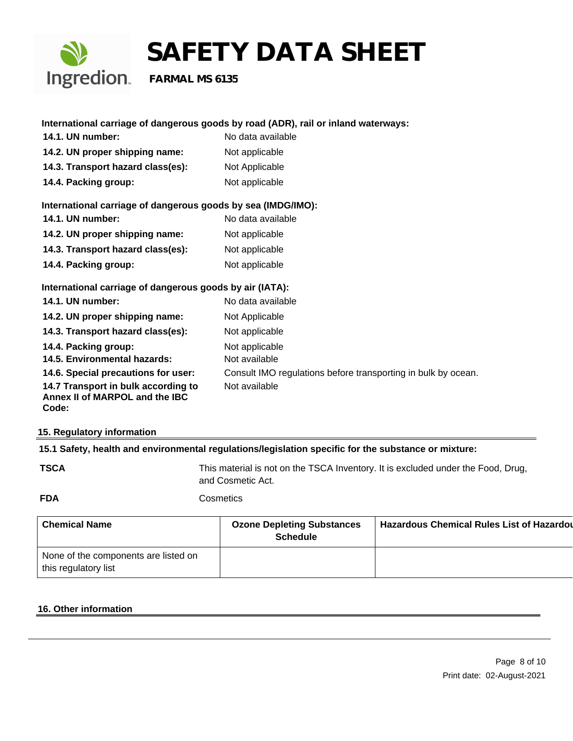

### **International carriage of dangerous goods by road (ADR), rail or inland waterways: 14.1. UN number:** No data available

- **14.2. UN proper shipping name:** Not applicable
- 14.3. Transport hazard class(es): Not Applicable
- **14.4. Packing group:** Not applicable

### **International carriage of dangerous goods by sea (IMDG/IMO):**

**14.1. UN number:** No data available **14.2. UN proper shipping name:** Not applicable 14.3. Transport hazard class(es): Not applicable **14.4. Packing group:** Not applicable

### **International carriage of dangerous goods by air (IATA):**

| <b>14.1. UN number:</b>                                                        | No data available                                             |
|--------------------------------------------------------------------------------|---------------------------------------------------------------|
| 14.2. UN proper shipping name:                                                 | Not Applicable                                                |
| 14.3. Transport hazard class(es):                                              | Not applicable                                                |
| 14.4. Packing group:<br>14.5. Environmental hazards:                           | Not applicable<br>Not available                               |
| 14.6. Special precautions for user:                                            | Consult IMO regulations before transporting in bulk by ocean. |
| 14.7 Transport in bulk according to<br>Annex II of MARPOL and the IBC<br>Code: | Not available                                                 |

#### **15. Regulatory information**

### **15.1 Safety, health and environmental regulations/legislation specific for the substance or mixture:**

**TSCA** This material is not on the TSCA Inventory. It is excluded under the Food, Drug, and Cosmetic Act.

#### **FDA** Cosmetics

| <b>Chemical Name</b>                                         | <b>Ozone Depleting Substances</b><br><b>Schedule</b> | <b>Hazardous Chemical Rules List of Hazardou</b> |
|--------------------------------------------------------------|------------------------------------------------------|--------------------------------------------------|
| None of the components are listed on<br>this regulatory list |                                                      |                                                  |

#### **16. Other information**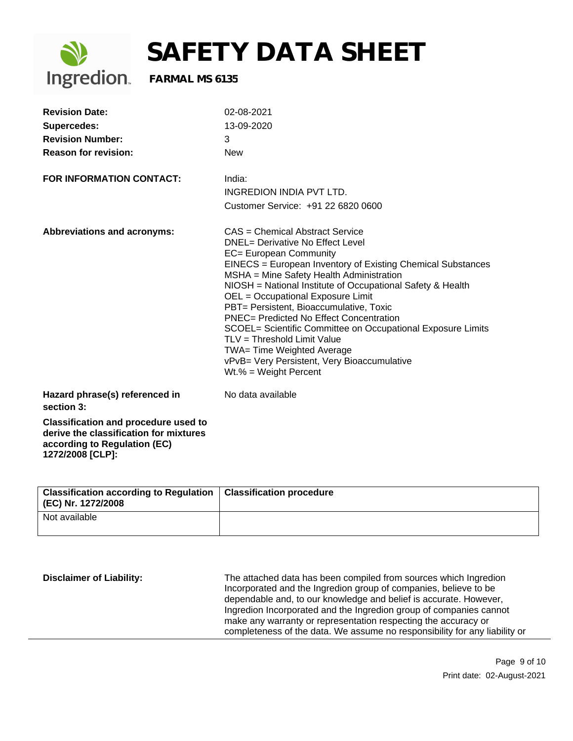

| <b>Revision Date:</b>                                                                                                                     | 02-08-2021                                                                                                                                                                                                                                                                                                                                                                                                                                                                                                                                                                                                             |
|-------------------------------------------------------------------------------------------------------------------------------------------|------------------------------------------------------------------------------------------------------------------------------------------------------------------------------------------------------------------------------------------------------------------------------------------------------------------------------------------------------------------------------------------------------------------------------------------------------------------------------------------------------------------------------------------------------------------------------------------------------------------------|
| <b>Supercedes:</b>                                                                                                                        | 13-09-2020                                                                                                                                                                                                                                                                                                                                                                                                                                                                                                                                                                                                             |
| <b>Revision Number:</b>                                                                                                                   | 3                                                                                                                                                                                                                                                                                                                                                                                                                                                                                                                                                                                                                      |
| <b>Reason for revision:</b>                                                                                                               | <b>New</b>                                                                                                                                                                                                                                                                                                                                                                                                                                                                                                                                                                                                             |
| <b>FOR INFORMATION CONTACT:</b>                                                                                                           | India:                                                                                                                                                                                                                                                                                                                                                                                                                                                                                                                                                                                                                 |
|                                                                                                                                           | <b>INGREDION INDIA PVT LTD.</b>                                                                                                                                                                                                                                                                                                                                                                                                                                                                                                                                                                                        |
|                                                                                                                                           | Customer Service: +91 22 6820 0600                                                                                                                                                                                                                                                                                                                                                                                                                                                                                                                                                                                     |
| Abbreviations and acronyms:                                                                                                               | CAS = Chemical Abstract Service<br><b>DNEL= Derivative No Effect Level</b><br>EC= European Community<br>EINECS = European Inventory of Existing Chemical Substances<br>MSHA = Mine Safety Health Administration<br>NIOSH = National Institute of Occupational Safety & Health<br>OEL = Occupational Exposure Limit<br>PBT= Persistent, Bioaccumulative, Toxic<br><b>PNEC= Predicted No Effect Concentration</b><br>SCOEL= Scientific Committee on Occupational Exposure Limits<br>TLV = Threshold Limit Value<br>TWA= Time Weighted Average<br>vPvB= Very Persistent, Very Bioaccumulative<br>$Wt.\% = Weight Percent$ |
| Hazard phrase(s) referenced in<br>section 3:                                                                                              | No data available                                                                                                                                                                                                                                                                                                                                                                                                                                                                                                                                                                                                      |
| <b>Classification and procedure used to</b><br>derive the classification for mixtures<br>according to Regulation (EC)<br>1272/2008 [CLP]: |                                                                                                                                                                                                                                                                                                                                                                                                                                                                                                                                                                                                                        |

| Classification according to Regulation  <br>(EC) Nr. 1272/2008 | <b>Classification procedure</b> |
|----------------------------------------------------------------|---------------------------------|
| Not available                                                  |                                 |

| <b>Disclaimer of Liability:</b> | The attached data has been compiled from sources which Ingredion<br>Incorporated and the Ingredion group of companies, believe to be<br>dependable and, to our knowledge and belief is accurate. However,<br>Ingredion Incorporated and the Ingredion group of companies cannot<br>make any warranty or representation respecting the accuracy or<br>completeness of the data. We assume no responsibility for any liability or |
|---------------------------------|---------------------------------------------------------------------------------------------------------------------------------------------------------------------------------------------------------------------------------------------------------------------------------------------------------------------------------------------------------------------------------------------------------------------------------|
|---------------------------------|---------------------------------------------------------------------------------------------------------------------------------------------------------------------------------------------------------------------------------------------------------------------------------------------------------------------------------------------------------------------------------------------------------------------------------|